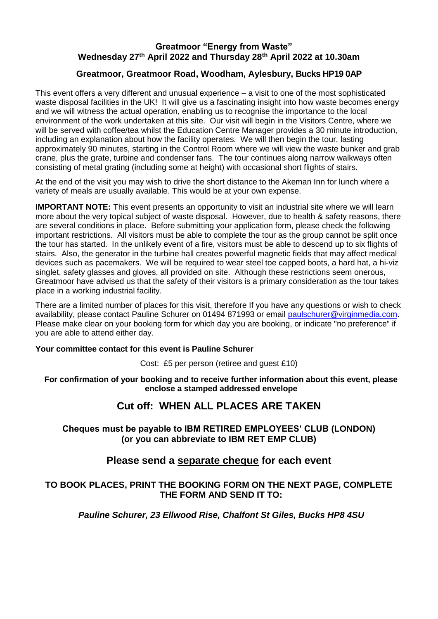## **Greatmoor "Energy from Waste" Wednesday 27th April 2022 and Thursday 28th April 2022 at 10.30am**

## **Greatmoor, Greatmoor Road, Woodham, Aylesbury, Bucks HP19 0AP**

This event offers a very different and unusual experience – a visit to one of the most sophisticated waste disposal facilities in the UK! It will give us a fascinating insight into how waste becomes energy and we will witness the actual operation, enabling us to recognise the importance to the local environment of the work undertaken at this site. Our visit will begin in the Visitors Centre, where we will be served with coffee/tea whilst the Education Centre Manager provides a 30 minute introduction, including an explanation about how the facility operates. We will then begin the tour, lasting approximately 90 minutes, starting in the Control Room where we will view the waste bunker and grab crane, plus the grate, turbine and condenser fans. The tour continues along narrow walkways often consisting of metal grating (including some at height) with occasional short flights of stairs.

At the end of the visit you may wish to drive the short distance to the Akeman Inn for lunch where a variety of meals are usually available. This would be at your own expense.

**IMPORTANT NOTE:** This event presents an opportunity to visit an industrial site where we will learn more about the very topical subject of waste disposal. However, due to health & safety reasons, there are several conditions in place. Before submitting your application form, please check the following important restrictions. All visitors must be able to complete the tour as the group cannot be split once the tour has started. In the unlikely event of a fire, visitors must be able to descend up to six flights of stairs. Also, the generator in the turbine hall creates powerful magnetic fields that may affect medical devices such as pacemakers. We will be required to wear steel toe capped boots, a hard hat, a hi-viz singlet, safety glasses and gloves, all provided on site. Although these restrictions seem onerous, Greatmoor have advised us that the safety of their visitors is a primary consideration as the tour takes place in a working industrial facility.

There are a limited number of places for this visit, therefore If you have any questions or wish to check availability, please contact Pauline Schurer on 01494 871993 or email [paulschurer@virginmedia.com.](mailto:paulschurer@virginmedia.com) Please make clear on your booking form for which day you are booking, or indicate "no preference" if you are able to attend either day. ĺ

#### **Your committee contact for this event is Pauline Schurer**

Cost: £5 per person (retiree and guest £10)

**For confirmation of your booking and to receive further information about this event, please enclose a stamped addressed envelope**

# **Cut off: WHEN ALL PLACES ARE TAKEN**

#### **Cheques must be payable to IBM RETIRED EMPLOYEES' CLUB (LONDON) (or you can abbreviate to IBM RET EMP CLUB)**

# **Please send a separate cheque for each event**

#### **TO BOOK PLACES, PRINT THE BOOKING FORM ON THE NEXT PAGE, COMPLETE THE FORM AND SEND IT TO:**

*Pauline Schurer, 23 Ellwood Rise, Chalfont St Giles, Bucks HP8 4SU*